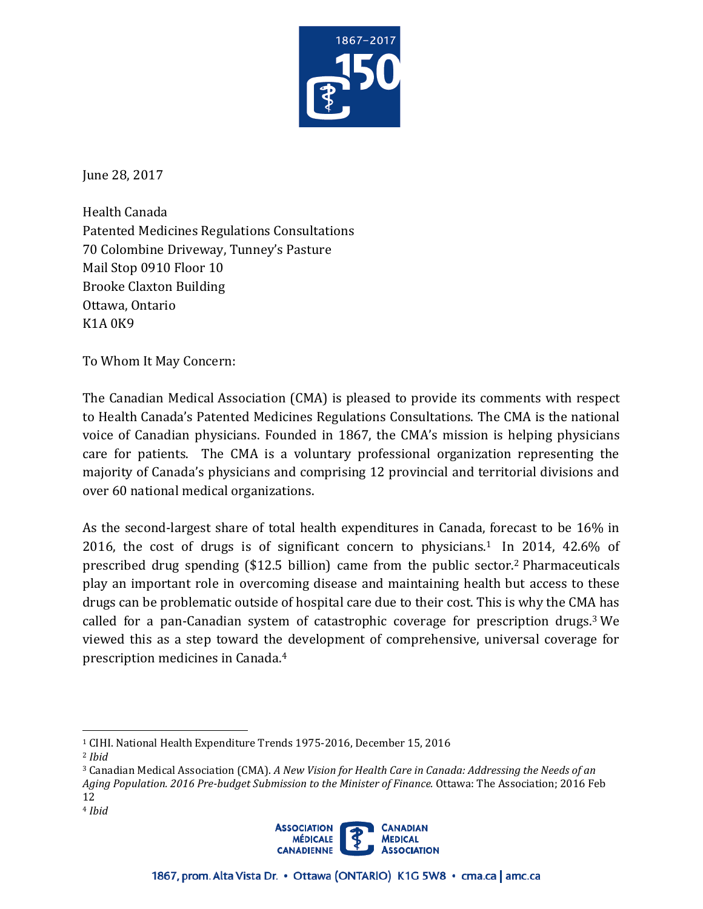

June 28, 2017

Health Canada Patented Medicines Regulations Consultations 70 Colombine Driveway, Tunney's Pasture Mail Stop 0910 Floor 10 Brooke Claxton Building Ottawa, Ontario K1A 0K9

To Whom It May Concern:

The Canadian Medical Association (CMA) is pleased to provide its comments with respect to Health Canada's Patented Medicines Regulations Consultations. The CMA is the national voice of Canadian physicians. Founded in 1867, the CMA's mission is helping physicians care for patients. The CMA is a voluntary professional organization representing the majority of Canada's physicians and comprising 12 provincial and territorial divisions and over 60 national medical organizations.

As the second-largest share of total health expenditures in Canada, forecast to be 16% in 2016, the cost of drugs is of significant concern to physicians.1 In 2014, 42.6% of prescribed drug spending (\$12.5 billion) came from the public sector.2 Pharmaceuticals play an important role in overcoming disease and maintaining health but access to these drugs can be problematic outside of hospital care due to their cost. This is why the CMA has called for a pan-Canadian system of catastrophic coverage for prescription drugs.3 We viewed this as a step toward the development of comprehensive, universal coverage for prescription medicines in Canada.4

<sup>3</sup> Canadian Medical Association (CMA). *A New Vision for Health Care in Canada: Addressing the Needs of an Aging Population. 2016 Pre-budget Submission to the Minister of Finance.* Ottawa: The Association; 2016 Feb 12 <sup>4</sup>*Ibid* 



<sup>1</sup> CIHI. National Health Expenditure Trends 1975-2016, December 15, 2016

<sup>2</sup>*Ibid*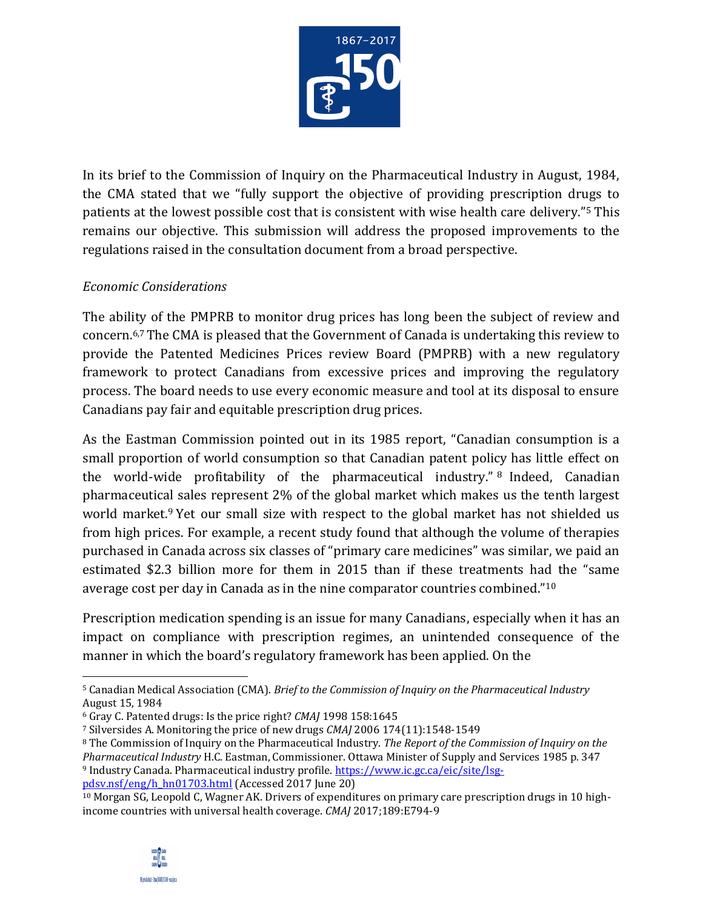

 In its brief to the Commission of Inquiry on the Pharmaceutical Industry in August, 1984, the CMA stated that we "fully support the objective of providing prescription drugs to patients at the lowest possible cost that is consistent with wise health care delivery."<sup>5</sup> This remains our objective. This submission will address the proposed improvements to the regulations raised in the consultation document from a broad perspective.

## *Economic Considerations*

 The ability of the PMPRB to monitor drug prices has long been the subject of review and concern.6,7 The CMA is pleased that the Government of Canada is undertaking this review to provide the Patented Medicines Prices review Board (PMPRB) with a new regulatory framework to protect Canadians from excessive prices and improving the regulatory process. The board needs to use every economic measure and tool at its disposal to ensure Canadians pay fair and equitable prescription drug prices.

 As the Eastman Commission pointed out in its 1985 report, "Canadian consumption is a small proportion of world consumption so that Canadian patent policy has little effect on the world-wide profitability of the pharmaceutical industry." 8 Indeed, Canadian pharmaceutical sales represent 2% of the global market which makes us the tenth largest world market.<sup>9</sup> Yet our small size with respect to the global market has not shielded us from high prices. For example, a recent study found that although the volume of therapies purchased in Canada across six classes of "primary care medicines" was similar, we paid an estimated \$2.3 billion more for them in 2015 than if these treatments had the "same average cost per day in Canada as in the nine comparator countries combined."<sup>10</sup>

 Prescription medication spending is an issue for many Canadians, especially when it has an impact on compliance with prescription regimes, an unintended consequence of the manner in which the board's regulatory framework has been applied. On the

[pdsv.nsf/eng/h\\_hn01703.html \(](https://www.ic.gc.ca/eic/site/lsg-pdsv.nsf/eng/h_hn01703.html)Accessed 2017 June 20)

 $\overline{\phantom{0}}$ 

<sup>5</sup> Canadian Medical Association (CMA). *Brief to the Commission of Inquiry on the Pharmaceutical Industry*  August 15, 1984

<sup>&</sup>lt;sup>6</sup> Gray C. Patented drugs: Is the price right? CMAJ 1998 158:1645<br><sup>7</sup> Silversides A. Monitoring the price of new drugs CMAJ 2006 174(11):1548-1549<br><sup>8</sup> The Commission of Inquiry on the Pharmaceutical Industry. *The Report Pharmaceutical Industry* H.C. Eastman, Commissioner. Ottawa Minister of Supply and Services 1985 p. 347<br><sup>9</sup> Industry Canada. Pharmaceutical industry profile. [https://www.ic.gc.ca/eic/site/lsg-](https://www.ic.gc.ca/eic/site/lsg)

 <sup>10</sup> Morgan SG, Leopold C, Wagner AK. Drivers of expenditures on primary care prescription drugs in 10 highincome countries with universal health coverage. *CMAJ* 2017;189:E794-9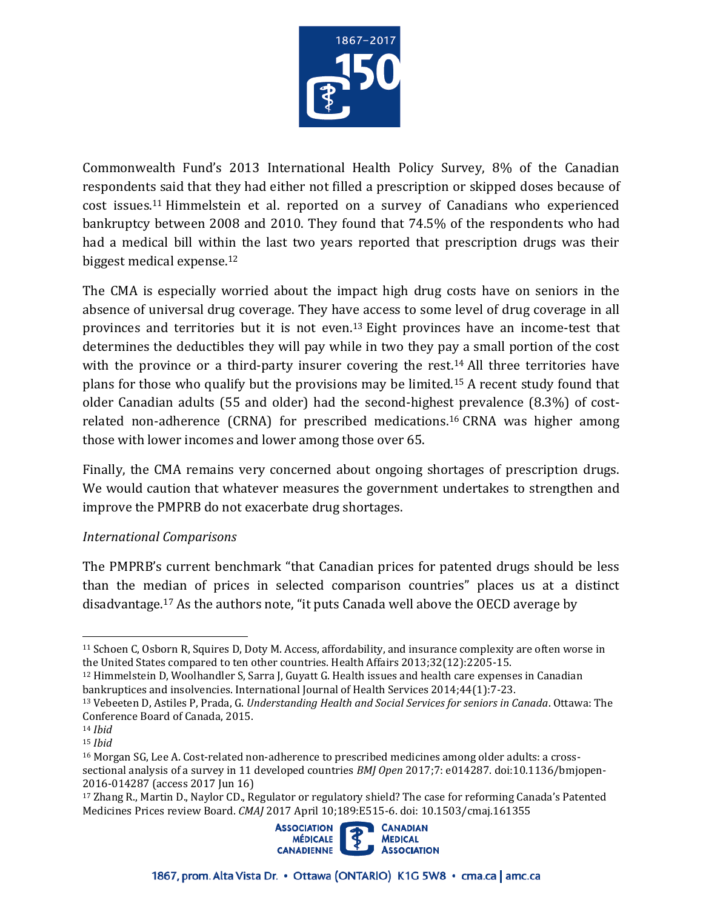

 Commonwealth Fund's 2013 International Health Policy Survey, 8% of the Canadian respondents said that they had either not filled a prescription or skipped doses because of cost issues.11 Himmelstein et al. reported on a survey of Canadians who experienced bankruptcy between 2008 and 2010. They found that 74.5% of the respondents who had had a medical bill within the last two years reported that prescription drugs was their biggest medical expense.12

 The CMA is especially worried about the impact high drug costs have on seniors in the absence of universal drug coverage. They have access to some level of drug coverage in all provinces and territories but it is not even.<sup>13</sup> Eight provinces have an income-test that determines the deductibles they will pay while in two they pay a small portion of the cost with the province or a third-party insurer covering the rest.<sup>14</sup> All three territories have plans for those who qualify but the provisions may be limited.<sup>15</sup> A recent study found that older Canadian adults (55 and older) had the second-highest prevalence (8.3%) of costrelated non-adherence (CRNA) for prescribed medications.<sup>16</sup> CRNA was higher among those with lower incomes and lower among those over 65.

 Finally, the CMA remains very concerned about ongoing shortages of prescription drugs. We would caution that whatever measures the government undertakes to strengthen and improve the PMPRB do not exacerbate drug shortages.

## *International Comparisons*

 The PMPRB's current benchmark "that Canadian prices for patented drugs should be less than the median of prices in selected comparison countries" places us at a distinct disadvantage.17 As the authors note, "it puts Canada well above the OECD average by

 $\overline{\phantom{0}}$ 

Medicines Prices review Board. *CMAJ* 2017 April 10;189:E515-6. doi: 10.1503/cmaj.161355



<sup>&</sup>lt;sup>11</sup> Schoen C, Osborn R, Squires D, Doty M. Access, affordability, and insurance complexity are often worse in the United States compared to ten other countries. Health Affairs 2013;32(12):2205-15.

 $12$  Himmelstein D, Woolhandler S, Sarra J, Guyatt G. Health issues and health care expenses in Canadian bankruptices and insolvencies. International Journal of Health Services 2014;44(1):7-23. 13 Vebeeten D, Astiles P, Prada, G. *Understanding Health and Social Services for seniors in Canada*. Ottawa: The

Conference Board of Canada, 2015. 14 *Ibid* 

<sup>15</sup> *Ibid* 

<sup>16</sup> Morgan SG, Lee A. Cost-related non-adherence to prescribed medicines among older adults: a crosssectional analysis of a survey in 11 developed countries *BMJ Open* 2017;7: e014287. doi:10.1136/bmjopen-2016-014287 (access 2017 Jun 16)<br><sup>17</sup> Zhang R., Martin D., Naylor CD., Regulator or regulatory shield? The case for reforming Canada's Patented